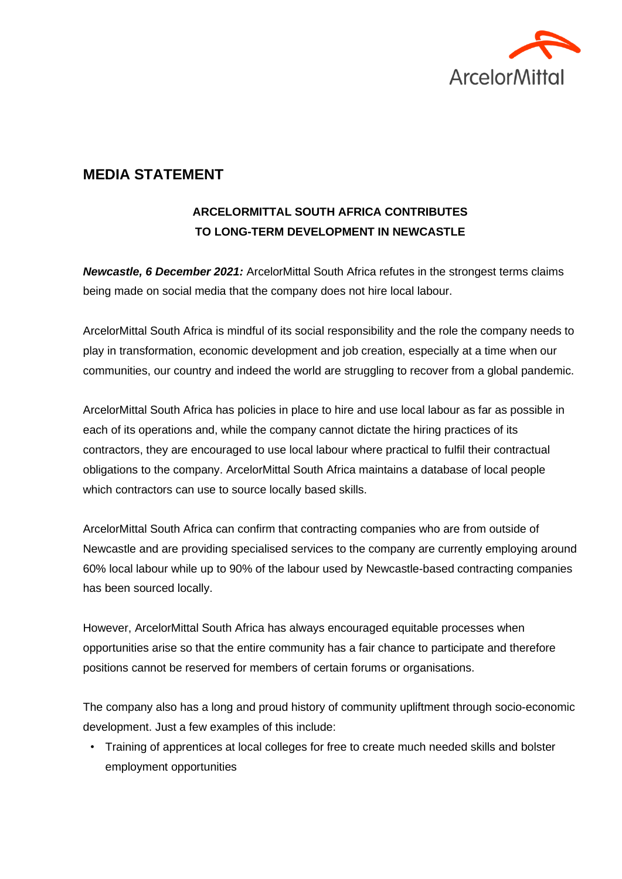

## **MEDIA STATEMENT**

## **ARCELORMITTAL SOUTH AFRICA CONTRIBUTES TO LONG-TERM DEVELOPMENT IN NEWCASTLE**

*Newcastle, 6 December 2021:* ArcelorMittal South Africa refutes in the strongest terms claims being made on social media that the company does not hire local labour.

ArcelorMittal South Africa is mindful of its social responsibility and the role the company needs to play in transformation, economic development and job creation, especially at a time when our communities, our country and indeed the world are struggling to recover from a global pandemic.

ArcelorMittal South Africa has policies in place to hire and use local labour as far as possible in each of its operations and, while the company cannot dictate the hiring practices of its contractors, they are encouraged to use local labour where practical to fulfil their contractual obligations to the company. ArcelorMittal South Africa maintains a database of local people which contractors can use to source locally based skills.

ArcelorMittal South Africa can confirm that contracting companies who are from outside of Newcastle and are providing specialised services to the company are currently employing around 60% local labour while up to 90% of the labour used by Newcastle-based contracting companies has been sourced locally.

However, ArcelorMittal South Africa has always encouraged equitable processes when opportunities arise so that the entire community has a fair chance to participate and therefore positions cannot be reserved for members of certain forums or organisations.

The company also has a long and proud history of community upliftment through socio-economic development. Just a few examples of this include:

• Training of apprentices at local colleges for free to create much needed skills and bolster employment opportunities